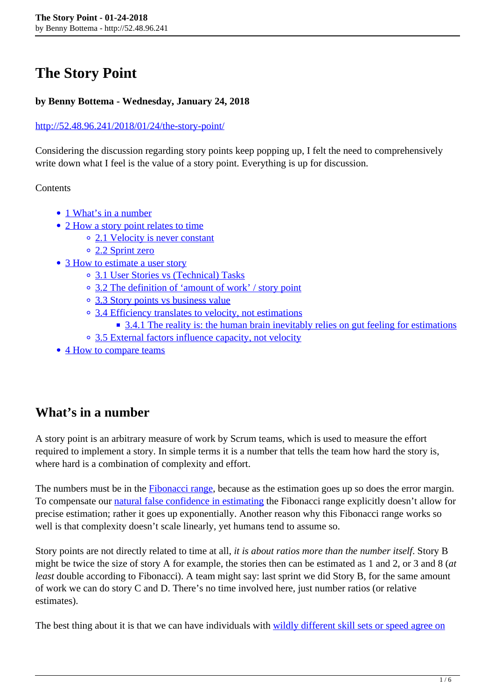# **The Story Point**

#### **by Benny Bottema - Wednesday, January 24, 2018**

#### <http://52.48.96.241/2018/01/24/the-story-point/>

Considering the discussion regarding story points keep popping up, I felt the need to comprehensively write down what I feel is the value of a story point. Everything is up for discussion.

**Contents** 

- 1 What's in a number
- 2 How a story point relates to time
	- 2.1 Velocity is never constant
	- 2.2 Sprint zero
- 3 How to estimate a user story
	- 3.1 User Stories vs (Technical) Tasks
	- 3.2 The definition of 'amount of work' / story point
	- 3.3 Story points vs business value
	- <sup>o</sup> 3.4 Efficiency translates to velocity, not estimations
		- 3.4.1 The reality is: the human brain inevitably relies on gut feeling for estimations
	- <sup>o</sup> 3.5 External factors influence capacity, not velocity
- 4 How to compare teams

## **What's in a number**

A story point is an arbitrary measure of work by Scrum teams, which is used to measure the effort required to implement a story. In simple terms it is a number that tells the team how hard the story is, where hard is a combination of complexity and effort.

The numbers must be in the **Fibonacci range**, because as the estimation goes up so does the error margin. To compensate our [natural false confidence in estimating](http://blog.muonlab.com/2012/04/12/why-you-suck-at-estimating-a-lesson-in-psychology/) the Fibonacci range explicitly doesn't allow for precise estimation; rather it goes up exponentially. Another reason why this Fibonacci range works so well is that complexity doesn't scale linearly, yet humans tend to assume so.

Story points are not directly related to time at all, *it is about ratios more than the number itself*. Story B might be twice the size of story A for example, the stories then can be estimated as 1 and 2, or 3 and 8 (*at least* double according to Fibonacci). A team might say: last sprint we did Story B, for the same amount of work we can do story C and D. There's no time involved here, just number ratios (or relative estimates).

The best thing about it is that we can have individuals with [wildly different skill sets or speed agree on](https://www.mountaingoatsoftware.com/blog/the-main-benefit-of-story-points)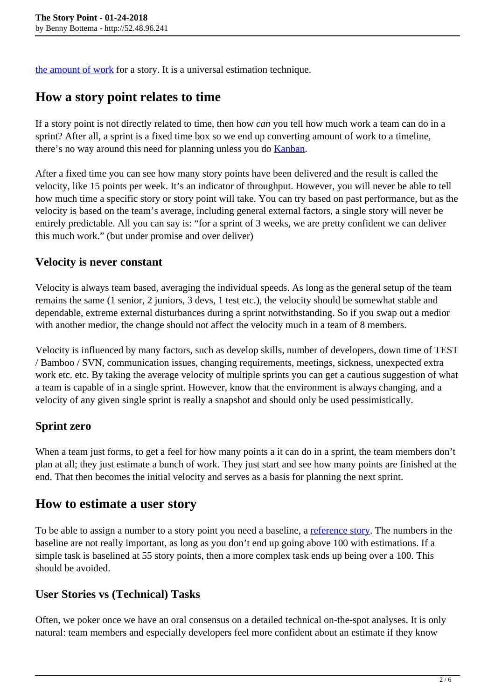[the amount of work](https://www.mountaingoatsoftware.com/blog/the-main-benefit-of-story-points) for a story. It is a universal estimation technique.

## **How a story point relates to time**

If a story point is not directly related to time, then how *can* you tell how much work a team can do in a sprint? After all, a sprint is a fixed time box so we end up converting amount of work to a timeline, there's no way around this need for planning unless you do [Kanban.](https://hackerchick.com/kanban-is-the-new-scrum/)

After a fixed time you can see how many story points have been delivered and the result is called the velocity, like 15 points per week. It's an indicator of throughput. However, you will never be able to tell how much time a specific story or story point will take. You can try based on past performance, but as the velocity is based on the team's average, including general external factors, a single story will never be entirely predictable. All you can say is: "for a sprint of 3 weeks, we are pretty confident we can deliver this much work." (but under promise and over deliver)

#### **Velocity is never constant**

Velocity is always team based, averaging the individual speeds. As long as the general setup of the team remains the same (1 senior, 2 juniors, 3 devs, 1 test etc.), the velocity should be somewhat stable and dependable, extreme external disturbances during a sprint notwithstanding. So if you swap out a medior with another medior, the change should not affect the velocity much in a team of 8 members.

Velocity is influenced by many factors, such as develop skills, number of developers, down time of TEST / Bamboo / SVN, communication issues, changing requirements, meetings, sickness, unexpected extra work etc. etc. By taking the average velocity of multiple sprints you can get a cautious suggestion of what a team is capable of in a single sprint. However, know that the environment is always changing, and a velocity of any given single sprint is really a snapshot and should only be used pessimistically.

#### **Sprint zero**

When a team just forms, to get a feel for how many points a it can do in a sprint, the team members don't plan at all; they just estimate a bunch of work. They just start and see how many points are finished at the end. That then becomes the initial velocity and serves as a basis for planning the next sprint.

### **How to estimate a user story**

To be able to assign a number to a story point you need a baseline, a [reference story](https://stwunder.wordpress.com/tag/reference-user-story/). The numbers in the baseline are not really important, as long as you don't end up going above 100 with estimations. If a simple task is baselined at 55 story points, then a more complex task ends up being over a 100. This should be avoided.

#### **User Stories vs (Technical) Tasks**

Often, we poker once we have an oral consensus on a detailed technical on-the-spot analyses. It is only natural: team members and especially developers feel more confident about an estimate if they know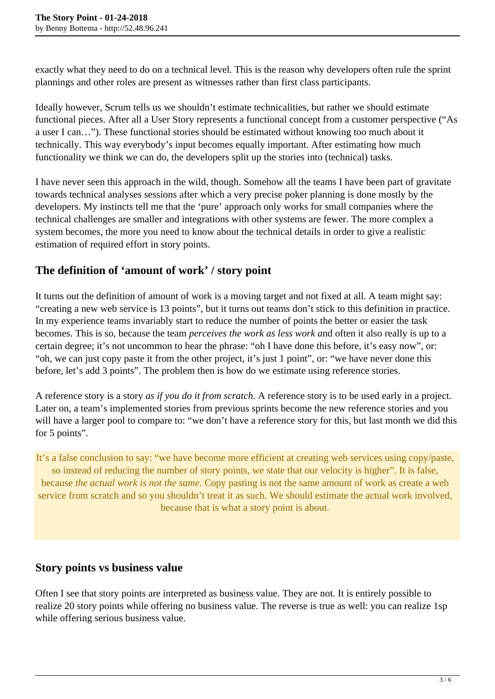exactly what they need to do on a technical level. This is the reason why developers often rule the sprint plannings and other roles are present as witnesses rather than first class participants.

Ideally however, Scrum tells us we shouldn't estimate technicalities, but rather we should estimate functional pieces. After all a User Story represents a functional concept from a customer perspective ("As a user I can…"). These functional stories should be estimated without knowing too much about it technically. This way everybody's input becomes equally important. After estimating how much functionality we think we can do, the developers split up the stories into (technical) tasks.

I have never seen this approach in the wild, though. Somehow all the teams I have been part of gravitate towards technical analyses sessions after which a very precise poker planning is done mostly by the developers. My instincts tell me that the 'pure' approach only works for small companies where the technical challenges are smaller and integrations with other systems are fewer. The more complex a system becomes, the more you need to know about the technical details in order to give a realistic estimation of required effort in story points.

### **The definition of 'amount of work' / story point**

It turns out the definition of amount of work is a moving target and not fixed at all. A team might say: "creating a new web service is 13 points", but it turns out teams don't stick to this definition in practice. In my experience teams invariably start to reduce the number of points the better or easier the task becomes. This is so, because the team *perceives the work as less work a*nd often it also really is up to a certain degree; it's not uncommon to hear the phrase: "oh I have done this before, it's easy now", or: "oh, we can just copy paste it from the other project, it's just 1 point", or: "we have never done this before, let's add 3 points". The problem then is how do we estimate using reference stories.

A reference story is a story *as if you do it from scratch*. A reference story is to be used early in a project. Later on, a team's implemented stories from previous sprints become the new reference stories and you will have a larger pool to compare to: "we don't have a reference story for this, but last month we did this for 5 points".

It's a false conclusion to say: "we have become more efficient at creating web services using copy/paste, so instead of reducing the number of story points, we state that our velocity is higher". It is false, because *the actual work is not the same*. Copy pasting is not the same amount of work as create a web service from scratch and so you shouldn't treat it as such. We should estimate the actual work involved, because that is what a story point is about.

### **Story points vs business value**

Often I see that story points are interpreted as business value. They are not. It is entirely possible to realize 20 story points while offering no business value. The reverse is true as well: you can realize 1sp while offering serious business value.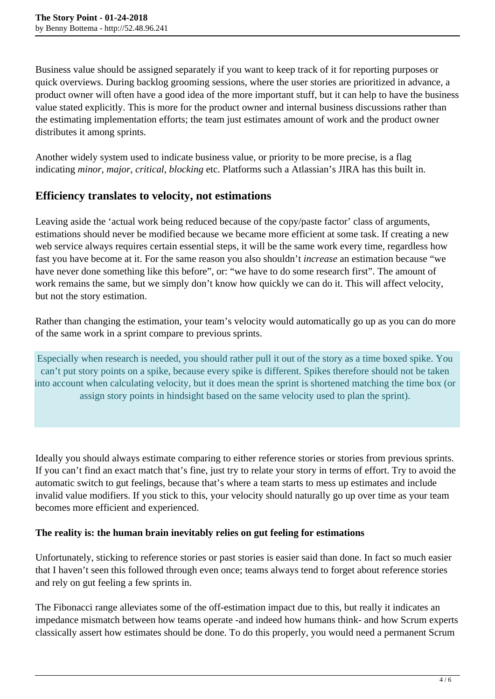Business value should be assigned separately if you want to keep track of it for reporting purposes or quick overviews. During backlog grooming sessions, where the user stories are prioritized in advance, a product owner will often have a good idea of the more important stuff, but it can help to have the business value stated explicitly. This is more for the product owner and internal business discussions rather than the estimating implementation efforts; the team just estimates amount of work and the product owner distributes it among sprints.

Another widely system used to indicate business value, or priority to be more precise, is a flag indicating *minor*, *major*, *critical*, *blocking* etc. Platforms such a Atlassian's JIRA has this built in.

#### **Efficiency translates to velocity, not estimations**

Leaving aside the 'actual work being reduced because of the copy/paste factor' class of arguments, estimations should never be modified because we became more efficient at some task. If creating a new web service always requires certain essential steps, it will be the same work every time, regardless how fast you have become at it. For the same reason you also shouldn't *increase* an estimation because "we have never done something like this before", or: "we have to do some research first". The amount of work remains the same, but we simply don't know how quickly we can do it. This will affect velocity, but not the story estimation.

Rather than changing the estimation, your team's velocity would automatically go up as you can do more of the same work in a sprint compare to previous sprints.

Especially when research is needed, you should rather pull it out of the story as a time boxed spike. You can't put story points on a spike, because every spike is different. Spikes therefore should not be taken into account when calculating velocity, but it does mean the sprint is shortened matching the time box (or assign story points in hindsight based on the same velocity used to plan the sprint).

Ideally you should always estimate comparing to either reference stories or stories from previous sprints. If you can't find an exact match that's fine, just try to relate your story in terms of effort. Try to avoid the automatic switch to gut feelings, because that's where a team starts to mess up estimates and include invalid value modifiers. If you stick to this, your velocity should naturally go up over time as your team becomes more efficient and experienced.

#### **The reality is: the human brain inevitably relies on gut feeling for estimations**

Unfortunately, sticking to reference stories or past stories is easier said than done. In fact so much easier that I haven't seen this followed through even once; teams always tend to forget about reference stories and rely on gut feeling a few sprints in.

The Fibonacci range alleviates some of the off-estimation impact due to this, but really it indicates an impedance mismatch between how teams operate -and indeed how humans think- and how Scrum experts classically assert how estimates should be done. To do this properly, you would need a permanent Scrum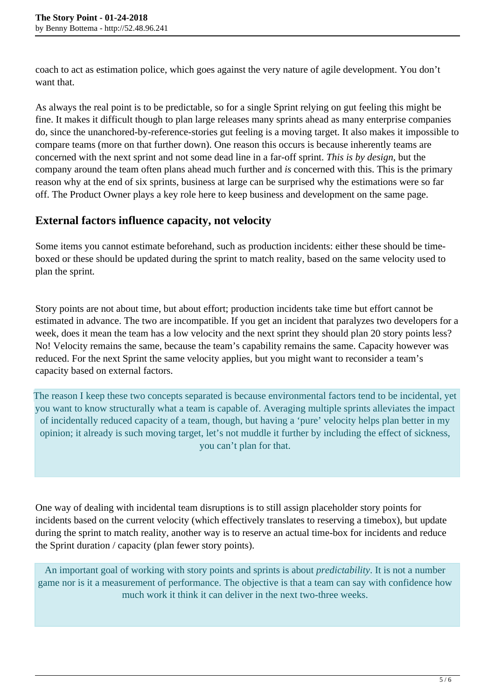coach to act as estimation police, which goes against the very nature of agile development. You don't want that.

As always the real point is to be predictable, so for a single Sprint relying on gut feeling this might be fine. It makes it difficult though to plan large releases many sprints ahead as many enterprise companies do, since the unanchored-by-reference-stories gut feeling is a moving target. It also makes it impossible to compare teams (more on that further down). One reason this occurs is because inherently teams are concerned with the next sprint and not some dead line in a far-off sprint. *This is by design*, but the company around the team often plans ahead much further and *is* concerned with this. This is the primary reason why at the end of six sprints, business at large can be surprised why the estimations were so far off. The Product Owner plays a key role here to keep business and development on the same page.

#### **External factors influence capacity, not velocity**

Some items you cannot estimate beforehand, such as production incidents: either these should be timeboxed or these should be updated during the sprint to match reality, based on the same velocity used to plan the sprint*.*

Story points are not about time, but about effort; production incidents take time but effort cannot be estimated in advance. The two are incompatible. If you get an incident that paralyzes two developers for a week, does it mean the team has a low velocity and the next sprint they should plan 20 story points less? No! Velocity remains the same, because the team's capability remains the same. Capacity however was reduced. For the next Sprint the same velocity applies, but you might want to reconsider a team's capacity based on external factors.

The reason I keep these two concepts separated is because environmental factors tend to be incidental, yet you want to know structurally what a team is capable of. Averaging multiple sprints alleviates the impact of incidentally reduced capacity of a team, though, but having a 'pure' velocity helps plan better in my opinion; it already is such moving target, let's not muddle it further by including the effect of sickness, you can't plan for that.

One way of dealing with incidental team disruptions is to still assign placeholder story points for incidents based on the current velocity (which effectively translates to reserving a timebox), but update during the sprint to match reality, another way is to reserve an actual time-box for incidents and reduce the Sprint duration / capacity (plan fewer story points).

An important goal of working with story points and sprints is about *predictability*. It is not a number game nor is it a measurement of performance. The objective is that a team can say with confidence how much work it think it can deliver in the next two-three weeks.